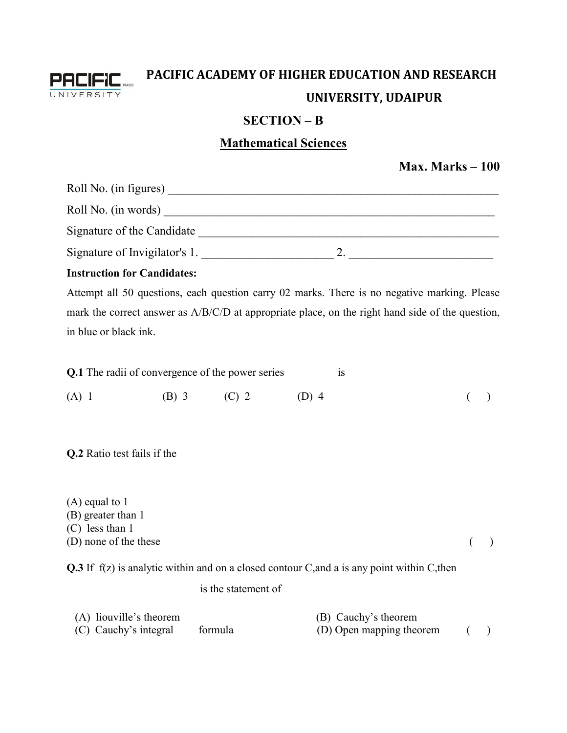

## **PACIFIC ACADEMY OF HIGHER EDUCATION AND RESEARCH UNIVERSITY, UDAIPUR**

## **SECTION – B**

## **Mathematical Sciences**

|                                                                                      |                     |                                                                                                                                                                                                  | Max. Marks $-100$ |
|--------------------------------------------------------------------------------------|---------------------|--------------------------------------------------------------------------------------------------------------------------------------------------------------------------------------------------|-------------------|
|                                                                                      |                     |                                                                                                                                                                                                  |                   |
|                                                                                      |                     |                                                                                                                                                                                                  |                   |
|                                                                                      |                     |                                                                                                                                                                                                  |                   |
|                                                                                      |                     |                                                                                                                                                                                                  |                   |
| <b>Instruction for Candidates:</b>                                                   |                     |                                                                                                                                                                                                  |                   |
| in blue or black ink.                                                                |                     | Attempt all 50 questions, each question carry 02 marks. There is no negative marking. Please<br>mark the correct answer as A/B/C/D at appropriate place, on the right hand side of the question, |                   |
| Q.1 The radii of convergence of the power series                                     |                     | is                                                                                                                                                                                               |                   |
| $(A)$ 1                                                                              | (B) 3 (C) 2 (D) 4   |                                                                                                                                                                                                  |                   |
| Q.2 Ratio test fails if the                                                          |                     |                                                                                                                                                                                                  |                   |
| $(A)$ equal to 1<br>(B) greater than 1<br>$(C)$ less than 1<br>(D) none of the these |                     |                                                                                                                                                                                                  |                   |
|                                                                                      |                     | Q.3 If $f(z)$ is analytic within and on a closed contour C, and a is any point within C, then                                                                                                    |                   |
|                                                                                      | is the statement of |                                                                                                                                                                                                  |                   |
| (A) liouville's theorem<br>(C) Cauchy's integral                                     | formula             | (B) Cauchy's theorem<br>(D) Open mapping theorem                                                                                                                                                 |                   |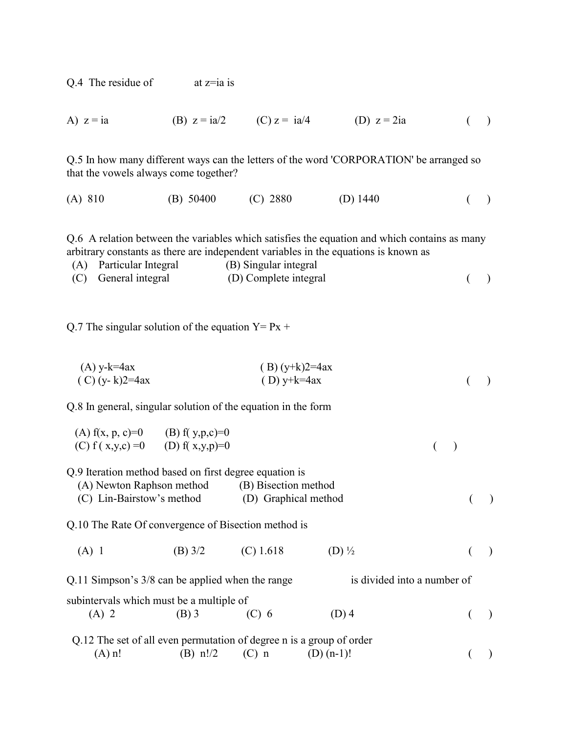Q.4 The residue of  $at z = ia is$ 

A) 
$$
z = ia
$$
 (B)  $z = ia/2$  (C)  $z = ia/4$  (D)  $z = 2ia$  (J)

Q.5 In how many different ways can the letters of the word 'CORPORATION' be arranged so that the vowels always come together?

(A) 810 (B) 50400 (C) 2880 (D) 1440 ( )

Q.6 A relation between the variables which satisfies the equation and which contains as many arbitrary constants as there are independent variables in the equations is known as

(A) Particular Integral (B) Singular integral

| (C) General integral | (D) Complete integral |  |
|----------------------|-----------------------|--|
|                      |                       |  |

Q.7 The singular solution of the equation  $Y = Px +$ 

 (A) y-k=4ax ( B) (y+k)2=4ax ( C) (y- k)2=4ax ( D) y+k=4ax ( )

Q.8 In general, singular solution of the equation in the form

| (A) $f(x, p, c)=0$ (B) $f(y, p, c)=0$ |  |  |
|---------------------------------------|--|--|
| (C) $f(x,y,c) = 0$ (D) $f(x,y,p)=0$   |  |  |

Q.9 Iteration method based on first degree equation is

(A) Newton Raphson method (B) Bisection method

(C) Lin-Bairstow's method (D) Graphical method ( )

Q.10 The Rate Of convergence of Bisection method is

(A) 1 (B)  $3/2$  (C)  $1.618$  (D)  $\frac{1}{2}$  (e)

Q.11 Simpson's  $3/8$  can be applied when the range is divided into a number of subintervals which must be a multiple of (A) 2 (B) 3 (C) 6 (D) 4 ()

|          |            |         | Q.12 The set of all even permutation of degree n is a group of order |  |
|----------|------------|---------|----------------------------------------------------------------------|--|
| $(A)$ n! | (B) $n!/2$ | $(C)$ n | $(D)$ (n-1)!                                                         |  |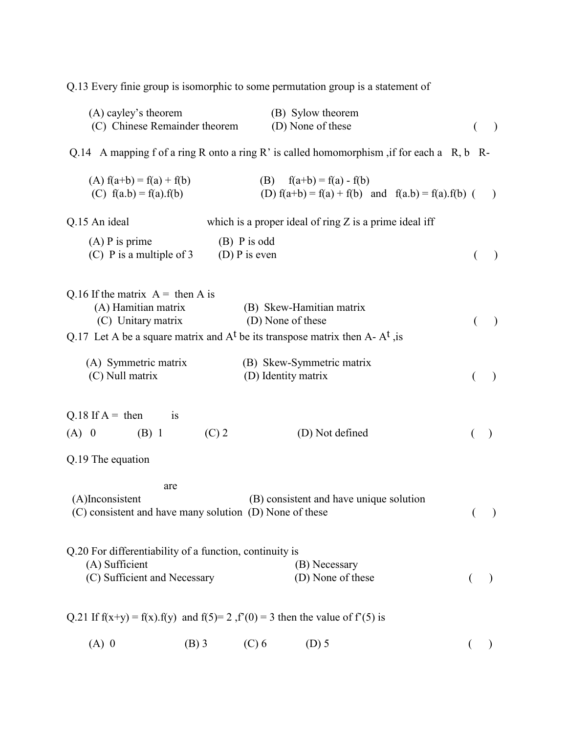Q.13 Every finie group is isomorphic to some permutation group is a statement of

| (A) cayley's theorem<br>(C) Chinese Remainder theorem                            |                                   | (B) Sylow theorem<br>(D) None of these                                                          | $\rightarrow$            |
|----------------------------------------------------------------------------------|-----------------------------------|-------------------------------------------------------------------------------------------------|--------------------------|
|                                                                                  |                                   | Q.14 A mapping f of a ring R onto a ring R' is called homomorphism, if for each a $R$ , b $R$ - |                          |
|                                                                                  |                                   |                                                                                                 |                          |
| (A) $f(a+b) = f(a) + f(b)$<br>(C) $f(a.b) = f(a).f(b)$                           |                                   | (B) $f(a+b) = f(a) - f(b)$<br>(D) $f(a+b) = f(a) + f(b)$ and $f(a.b) = f(a).f(b)$ (             | $\rightarrow$            |
| Q.15 An ideal                                                                    |                                   | which is a proper ideal of ring $Z$ is a prime ideal iff                                        |                          |
| $(A)$ P is prime<br>(C) P is a multiple of $3$                                   | $(B)$ P is odd<br>(D) $P$ is even |                                                                                                 | $\lambda$                |
| Q.16 If the matrix $A =$ then A is                                               |                                   |                                                                                                 |                          |
| (A) Hamitian matrix<br>(C) Unitary matrix                                        |                                   | (B) Skew-Hamitian matrix<br>(D) None of these                                                   | $\lambda$                |
|                                                                                  |                                   | Q.17 Let A be a square matrix and $At$ be its transpose matrix then A- $At$ , is                |                          |
| (A) Symmetric matrix<br>(C) Null matrix                                          |                                   | (B) Skew-Symmetric matrix<br>(D) Identity matrix                                                |                          |
| Q.18 If $A = \text{then}$<br><sup>is</sup><br>$(B)$ 1<br>$(A)$ 0                 | $(C)$ 2                           | (D) Not defined                                                                                 |                          |
| Q.19 The equation                                                                |                                   |                                                                                                 |                          |
| are                                                                              |                                   |                                                                                                 |                          |
| (A)Inconsistent<br>(C) consistent and have many solution (D) None of these       |                                   | (B) consistent and have unique solution                                                         | $\overline{\phantom{a}}$ |
| Q.20 For differentiability of a function, continuity is                          |                                   |                                                                                                 |                          |
| (A) Sufficient<br>(C) Sufficient and Necessary                                   |                                   | (B) Necessary<br>(D) None of these                                                              |                          |
| Q.21 If $f(x+y) = f(x) f(y)$ and $f(5)=2 f'(0) = 3$ then the value of $f'(5)$ is |                                   |                                                                                                 |                          |
| $(A)$ 0<br>$(B)$ 3                                                               | $(C)$ 6                           | $(D)$ 5                                                                                         |                          |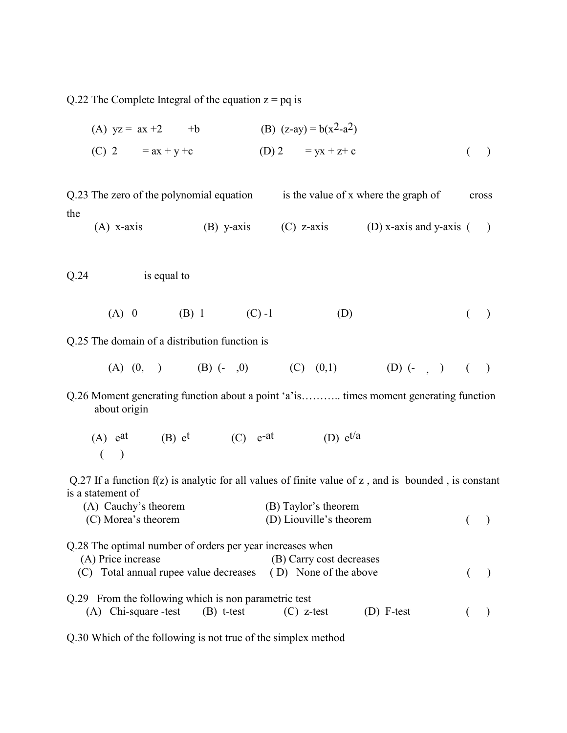Q.22 The Complete Integral of the equation  $z = pq$  is

(A) 
$$
yz = ax +2
$$
 +b  
\n(B)  $(z-ay) = b(x^2-a^2)$   
\n(C)  $2 = ax + y + c$   
\n(D)  $2 = yx + z + c$  (1)

Q.23 The zero of the polynomial equation is the value of x where the graph of cross the

- (A) x-axis (B) y-axis (C) z-axis (D) x-axis and y-axis ()
- Q.24 is equal to
- (A) 0 (B) 1 (C) -1 (D) ()

Q.25 The domain of a distribution function is

- (A)  $(0, )$  (B)  $(-, 0)$  (C)  $(0, 1)$  (D)  $(-, )$  ()
- Q.26 Moment generating function about a point 'a'is……….. times moment generating function about origin
	- $(A)$  e<sup>at</sup> (B) e<sup>t</sup> (C)  $e^{-at}$  (D)  $e^{t/a}$  $($   $)$

 Q.27 If a function f(z) is analytic for all values of finite value of z , and is bounded , is constant is a statement of

| (A) Cauchy's theorem                                         | (B) Taylor's theorem       |  |
|--------------------------------------------------------------|----------------------------|--|
| (C) Morea's theorem                                          | (D) Liouville's theorem    |  |
| Q.28 The optimal number of orders per year increases when    |                            |  |
| (A) Price increase                                           | (B) Carry cost decreases   |  |
| (C) Total annual rupee value decreases (D) None of the above |                            |  |
| Q.29 From the following which is non parametric test         |                            |  |
| $(A)$ Chi-square -test $(B)$ t-test                          | (D) F-test<br>$(C)$ z-test |  |

Q.30 Which of the following is not true of the simplex method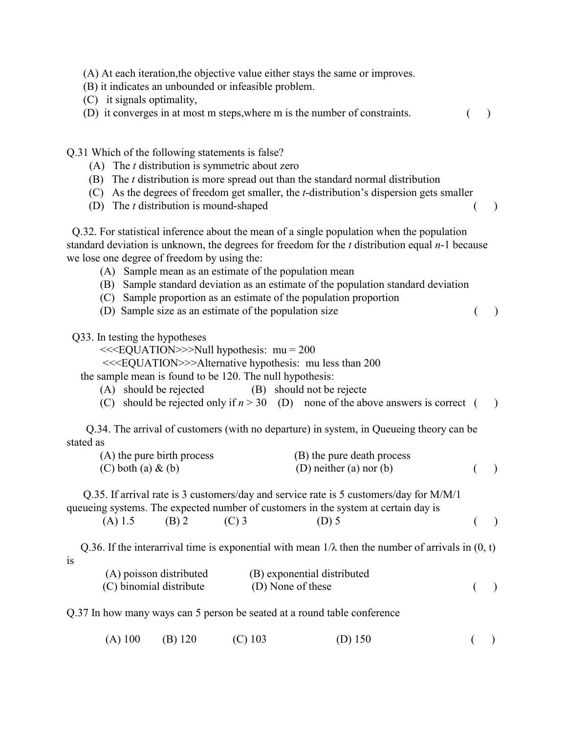|  |  |  | (A) At each iteration, the objective value either stays the same or improves. |
|--|--|--|-------------------------------------------------------------------------------|
|  |  |  |                                                                               |

(B) it indicates an unbounded or infeasible problem.

(C) it signals optimality,

(D) it converges in at most m steps, where m is the number of constraints.  $($ )

Q.31 Which of the following statements is false?

- (A) The *t* distribution is symmetric about zero
- (B) The *t* distribution is more spread out than the standard normal distribution
- (C) As the degrees of freedom get smaller, the *t*-distribution's dispersion gets smaller
- (D) The *t* distribution is mound-shaped ( )

 Q.32. For statistical inference about the mean of a single population when the population standard deviation is unknown, the degrees for freedom for the *t* distribution equal *n*-1 because we lose one degree of freedom by using the:

- (A) Sample mean as an estimate of the population mean
- (B) Sample standard deviation as an estimate of the population standard deviation
- (C) Sample proportion as an estimate of the population proportion
- (D) Sample size as an estimate of the population size ( )

Q33. In testing the hypotheses

<<<EQUATION>>>Null hypothesis: mu = 200

<<<EQUATION>>>Alternative hypothesis: mu less than 200

the sample mean is found to be 120. The null hypothesis:

- (A) should be rejected (B) should not be rejecte
- (C) should be rejected only if  $n > 30$  (D) none of the above answers is correct ()

 Q.34. The arrival of customers (with no departure) in system, in Queueing theory can be stated as

| (A) the pure birth process | (B) the pure death process |  |
|----------------------------|----------------------------|--|
| $(C)$ both $(a) \& (b)$    | (D) neither (a) nor (b)    |  |

 Q.35. If arrival rate is 3 customers/day and service rate is 5 customers/day for M/M/1 queueing systems. The expected number of customers in the system at certain day is

| $($ )<br>(A) 1.5 (B) 2 (C) 3<br>$(D)$ 5 |  |
|-----------------------------------------|--|
|-----------------------------------------|--|

Q.36. If the interarrival time is exponential with mean  $1/\lambda$  then the number of arrivals in  $(0, t)$ is

| (A) poisson distributed | (B) exponential distributed |  |
|-------------------------|-----------------------------|--|
| (C) binomial distribute | (D) None of these           |  |

Q.37 In how many ways can 5 person be seated at a round table conference

(A) 100 (B) 120 (C) 103 (D) 150 ()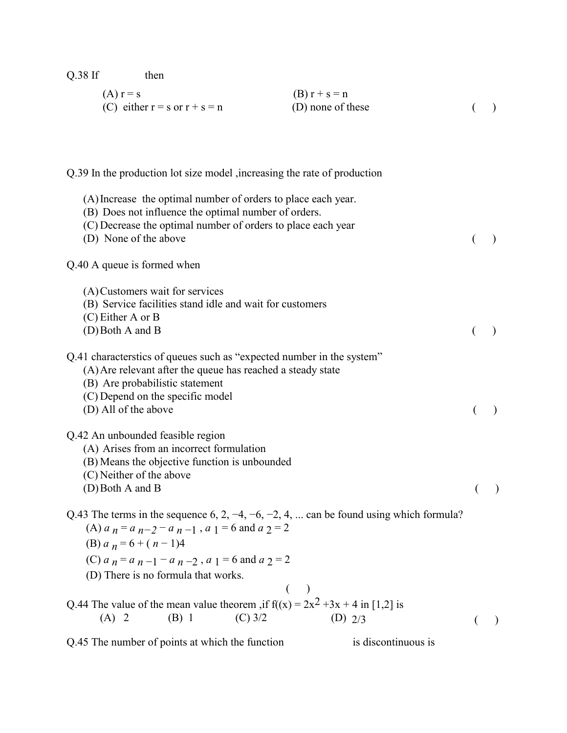(A)  $r = s$  (B)  $r + s = n$ (C) either  $r = s$  or  $r + s = n$  (D) none of these () Q.39 In the production lot size model ,increasing the rate of production (A)Increase the optimal number of orders to place each year. (B) Does not influence the optimal number of orders. (C) Decrease the optimal number of orders to place each year (D) None of the above () Q.40 A queue is formed when (A)Customers wait for services (B) Service facilities stand idle and wait for customers (C) Either A or B  $(D)$  Both A and B ( ) Q.41 characterstics of queues such as "expected number in the system" (A)Are relevant after the queue has reached a steady state (B) Are probabilistic statement (C) Depend on the specific model (D) All of the above ( ) Q.42 An unbounded feasible region (A) Arises from an incorrect formulation (B) Means the objective function is unbounded (C) Neither of the above  $(D)$  Both A and B ( ) Q.43 The terms in the sequence 6, 2,  $-4$ ,  $-6$ ,  $-2$ , 4, ... can be found using which formula? (A)  $a_n = a_{n-2} - a_{n-1}$ ,  $a_1 = 6$  and  $a_2 = 2$ (B)  $a_n = 6 + (n-1)4$ (C)  $a_n = a_{n-1} - a_{n-2}$ ,  $a_1 = 6$  and  $a_2 = 2$  (D) There is no formula that works.  $($  ) Q.44 The value of the mean value theorem ,if  $f((x) = 2x^2 + 3x + 4$  in [1,2] is (A) 2 (B) 1 (C) 3/2 (D)  $2/3$  ()

Q.45 The number of points at which the function is discontinuous is

Q.38 If then